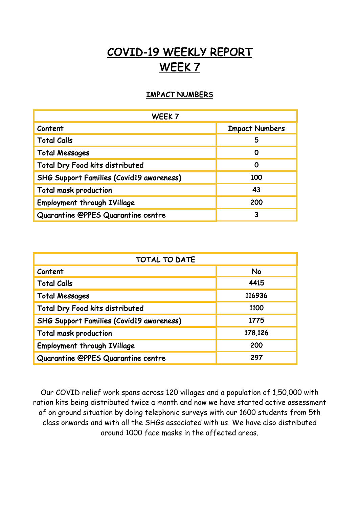## COVID-19 WEEKLY REPORT WEEK 7

## IMPACT NUMBERS

| WEEK <sub>7</sub>                               |                       |
|-------------------------------------------------|-----------------------|
| Content                                         | <b>Impact Numbers</b> |
| <b>Total Calls</b>                              | 5                     |
| <b>Total Messages</b>                           | Ω                     |
| Total Dry Food kits distributed                 | Ω                     |
| <b>SHG Support Families (Covid19 awareness)</b> | 100                   |
| <b>Total mask production</b>                    | 43                    |
| <b>Employment through IVillage</b>              | 200                   |
| Quarantine @PPES Quarantine centre              | 3                     |

| <b>TOTAL TO DATE</b>                            |         |
|-------------------------------------------------|---------|
| Content                                         | No      |
| <b>Total Calls</b>                              | 4415    |
| <b>Total Messages</b>                           | 116936  |
| Total Dry Food kits distributed                 | 1100    |
| <b>SHG Support Families (Covid19 awareness)</b> | 1775    |
| <b>Total mask production</b>                    | 178,126 |
| <b>Employment through IVillage</b>              | 200     |
| Quarantine @PPES Quarantine centre              | 297     |

Our COVID relief work spans across 120 villages and a population of 1,50,000 with ration kits being distributed twice a month and now we have started active assessment of on ground situation by doing telephonic surveys with our 1600 students from 5th class onwards and with all the SHGs associated with us. We have also distributed around 1000 face masks in the affected areas.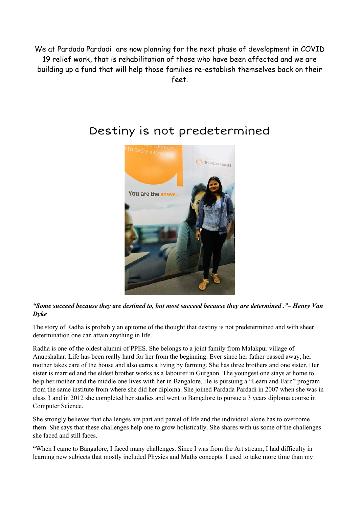We at Pardada Pardadi are now planning for the next phase of development in COVID 19 relief work, that is rehabilitation of those who have been affected and we are building up a fund that will help those families re-establish themselves back on their feet.



## Destiny is not predetermined

*"Some succeed because they are destined to, but most succeed because they are determined ."– Henry Van Dyke*

The story of Radha is probably an epitome of the thought that destiny is not predetermined and with sheer determination one can attain anything in life.

Radha is one of the oldest alumni of PPES. She belongs to a joint family from Malakpur village of Anupshahar. Life has been really hard for her from the beginning. Ever since her father passed away, her mother takes care of the house and also earns a living by farming. She has three brothers and one sister. Her sister is married and the eldest brother works as a labourer in Gurgaon. The youngest one stays at home to help her mother and the middle one lives with her in Bangalore. He is pursuing a "Learn and Earn" program from the same institute from where she did her diploma. She joined Pardada Pardadi in 2007 when she was in class 3 and in 2012 she completed her studies and went to Bangalore to pursue a 3 years diploma course in Computer Science.

She strongly believes that challenges are part and parcel of life and the individual alone has to overcome them. She says that these challenges help one to grow holistically. She shares with us some of the challenges she faced and still faces.

"When I came to Bangalore, I faced many challenges. Since I was from the Art stream, I had difficulty in learning new subjects that mostly included Physics and Maths concepts. I used to take more time than my